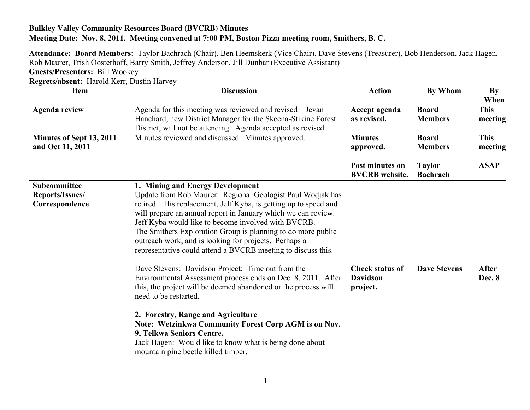## **Bulkley Valley Community Resources Board (BVCRB) Minutes Meeting Date: Nov. 8, 2011. Meeting convened at 7:00 PM, Boston Pizza meeting room, Smithers, B. C.**

**Attendance: Board Members:** Taylor Bachrach (Chair), Ben Heemskerk (Vice Chair), Dave Stevens (Treasurer), Bob Henderson, Jack Hagen, Rob Maurer, Trish Oosterhoff, Barry Smith, Jeffrey Anderson, Jill Dunbar (Executive Assistant) **Guests/Presenters:** Bill Wookey

**Regrets/absent:** Harold Kerr, Dustin Harvey

| Item                                                     | <b>Discussion</b>                                                                                                                                                                                                                                                                                                                                                                                                                                                                                                                                                                                                                                                                                                                                                                                                                                                                                                               | <b>Action</b>                                         | <b>By Whom</b>                   | By<br>When             |
|----------------------------------------------------------|---------------------------------------------------------------------------------------------------------------------------------------------------------------------------------------------------------------------------------------------------------------------------------------------------------------------------------------------------------------------------------------------------------------------------------------------------------------------------------------------------------------------------------------------------------------------------------------------------------------------------------------------------------------------------------------------------------------------------------------------------------------------------------------------------------------------------------------------------------------------------------------------------------------------------------|-------------------------------------------------------|----------------------------------|------------------------|
| <b>Agenda review</b>                                     | Agenda for this meeting was reviewed and revised - Jevan<br>Hanchard, new District Manager for the Skeena-Stikine Forest<br>District, will not be attending. Agenda accepted as revised.                                                                                                                                                                                                                                                                                                                                                                                                                                                                                                                                                                                                                                                                                                                                        | Accept agenda<br>as revised.                          | <b>Board</b><br><b>Members</b>   | <b>This</b><br>meeting |
| Minutes of Sept 13, 2011<br>and Oct 11, 2011             | Minutes reviewed and discussed. Minutes approved.                                                                                                                                                                                                                                                                                                                                                                                                                                                                                                                                                                                                                                                                                                                                                                                                                                                                               | <b>Minutes</b><br>approved.                           | <b>Board</b><br><b>Members</b>   | <b>This</b><br>meeting |
|                                                          |                                                                                                                                                                                                                                                                                                                                                                                                                                                                                                                                                                                                                                                                                                                                                                                                                                                                                                                                 | Post minutes on<br><b>BVCRB</b> website.              | <b>Taylor</b><br><b>Bachrach</b> | <b>ASAP</b>            |
| <b>Subcommittee</b><br>Reports/Issues/<br>Correspondence | 1. Mining and Energy Development<br>Update from Rob Maurer: Regional Geologist Paul Wodjak has<br>retired. His replacement, Jeff Kyba, is getting up to speed and<br>will prepare an annual report in January which we can review.<br>Jeff Kyba would like to become involved with BVCRB.<br>The Smithers Exploration Group is planning to do more public<br>outreach work, and is looking for projects. Perhaps a<br>representative could attend a BVCRB meeting to discuss this.<br>Dave Stevens: Davidson Project: Time out from the<br>Environmental Assessment process ends on Dec. 8, 2011. After<br>this, the project will be deemed abandoned or the process will<br>need to be restarted.<br>2. Forestry, Range and Agriculture<br>Note: Wetzinkwa Community Forest Corp AGM is on Nov.<br>9, Telkwa Seniors Centre.<br>Jack Hagen: Would like to know what is being done about<br>mountain pine beetle killed timber. | <b>Check status of</b><br><b>Davidson</b><br>project. | <b>Dave Stevens</b>              | After<br>Dec. 8        |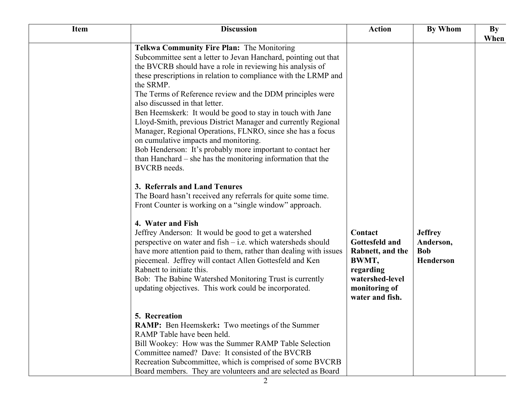| <b>Item</b> | <b>Discussion</b>                                                                                                                                                                                                                                                                                                                                                                                                                                                                                                                                                                                                                                                                                                                                                                                                                                                                                                                                                                                                                                                                                                                                                                                                                                                                                                                               | <b>Action</b>                                                                                                              | By Whom                                                       | $\mathbf{By}$<br>When |
|-------------|-------------------------------------------------------------------------------------------------------------------------------------------------------------------------------------------------------------------------------------------------------------------------------------------------------------------------------------------------------------------------------------------------------------------------------------------------------------------------------------------------------------------------------------------------------------------------------------------------------------------------------------------------------------------------------------------------------------------------------------------------------------------------------------------------------------------------------------------------------------------------------------------------------------------------------------------------------------------------------------------------------------------------------------------------------------------------------------------------------------------------------------------------------------------------------------------------------------------------------------------------------------------------------------------------------------------------------------------------|----------------------------------------------------------------------------------------------------------------------------|---------------------------------------------------------------|-----------------------|
|             | Telkwa Community Fire Plan: The Monitoring<br>Subcommittee sent a letter to Jevan Hanchard, pointing out that<br>the BVCRB should have a role in reviewing his analysis of<br>these prescriptions in relation to compliance with the LRMP and<br>the SRMP.<br>The Terms of Reference review and the DDM principles were<br>also discussed in that letter.<br>Ben Heemskerk: It would be good to stay in touch with Jane<br>Lloyd-Smith, previous District Manager and currently Regional<br>Manager, Regional Operations, FLNRO, since she has a focus<br>on cumulative impacts and monitoring.<br>Bob Henderson: It's probably more important to contact her<br>than Hanchard – she has the monitoring information that the<br><b>BVCRB</b> needs.<br>3. Referrals and Land Tenures<br>The Board hasn't received any referrals for quite some time.<br>Front Counter is working on a "single window" approach.<br>4. Water and Fish<br>Jeffrey Anderson: It would be good to get a watershed<br>perspective on water and fish - i.e. which watersheds should<br>have more attention paid to them, rather than dealing with issues<br>piecemeal. Jeffrey will contact Allen Gottesfeld and Ken<br>Rabnett to initiate this.<br>Bob: The Babine Watershed Monitoring Trust is currently<br>updating objectives. This work could be incorporated. | Contact<br>Gottesfeld and<br>Rabnett, and the<br>BWMT,<br>regarding<br>watershed-level<br>monitoring of<br>water and fish. | <b>Jeffrey</b><br>Anderson,<br><b>Bob</b><br><b>Henderson</b> |                       |
|             | 5. Recreation<br>RAMP: Ben Heemskerk: Two meetings of the Summer<br>RAMP Table have been held.<br>Bill Wookey: How was the Summer RAMP Table Selection<br>Committee named? Dave: It consisted of the BVCRB<br>Recreation Subcommittee, which is comprised of some BVCRB<br>Board members. They are volunteers and are selected as Board                                                                                                                                                                                                                                                                                                                                                                                                                                                                                                                                                                                                                                                                                                                                                                                                                                                                                                                                                                                                         |                                                                                                                            |                                                               |                       |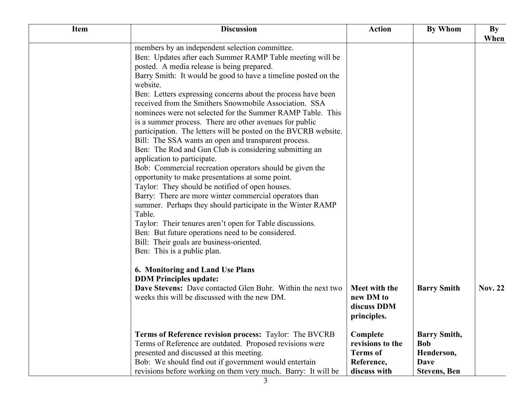| <b>Item</b> | <b>Discussion</b>                                                                                                                                                                                                                                                                                                                                                                                                                                                                                                                                                                                                                                                                                                                                                                                                                                                                                                                                                                                                                                                                                                                                                                                               | <b>Action</b>                                                                 | <b>By Whom</b>                                                                        | $\mathbf{By}$<br>When |
|-------------|-----------------------------------------------------------------------------------------------------------------------------------------------------------------------------------------------------------------------------------------------------------------------------------------------------------------------------------------------------------------------------------------------------------------------------------------------------------------------------------------------------------------------------------------------------------------------------------------------------------------------------------------------------------------------------------------------------------------------------------------------------------------------------------------------------------------------------------------------------------------------------------------------------------------------------------------------------------------------------------------------------------------------------------------------------------------------------------------------------------------------------------------------------------------------------------------------------------------|-------------------------------------------------------------------------------|---------------------------------------------------------------------------------------|-----------------------|
|             | members by an independent selection committee.<br>Ben: Updates after each Summer RAMP Table meeting will be<br>posted. A media release is being prepared.<br>Barry Smith: It would be good to have a timeline posted on the<br>website.<br>Ben: Letters expressing concerns about the process have been<br>received from the Smithers Snowmobile Association. SSA<br>nominees were not selected for the Summer RAMP Table. This<br>is a summer process. There are other avenues for public<br>participation. The letters will be posted on the BVCRB website.<br>Bill: The SSA wants an open and transparent process.<br>Ben: The Rod and Gun Club is considering submitting an<br>application to participate.<br>Bob: Commercial recreation operators should be given the<br>opportunity to make presentations at some point.<br>Taylor: They should be notified of open houses.<br>Barry: There are more winter commercial operators than<br>summer. Perhaps they should participate in the Winter RAMP<br>Table.<br>Taylor: Their tenures aren't open for Table discussions.<br>Ben: But future operations need to be considered.<br>Bill: Their goals are business-oriented.<br>Ben: This is a public plan. |                                                                               |                                                                                       |                       |
|             | 6. Monitoring and Land Use Plans<br><b>DDM Principles update:</b><br>Dave Stevens: Dave contacted Glen Buhr. Within the next two<br>weeks this will be discussed with the new DM.                                                                                                                                                                                                                                                                                                                                                                                                                                                                                                                                                                                                                                                                                                                                                                                                                                                                                                                                                                                                                               | Meet with the<br>new DM to<br>discuss DDM<br>principles.                      | <b>Barry Smith</b>                                                                    | <b>Nov. 22</b>        |
|             | Terms of Reference revision process: Taylor: The BVCRB<br>Terms of Reference are outdated. Proposed revisions were<br>presented and discussed at this meeting.<br>Bob: We should find out if government would entertain<br>revisions before working on them very much. Barry: It will be                                                                                                                                                                                                                                                                                                                                                                                                                                                                                                                                                                                                                                                                                                                                                                                                                                                                                                                        | Complete<br>revisions to the<br><b>Terms</b> of<br>Reference,<br>discuss with | <b>Barry Smith,</b><br><b>Bob</b><br>Henderson,<br><b>Dave</b><br><b>Stevens, Ben</b> |                       |